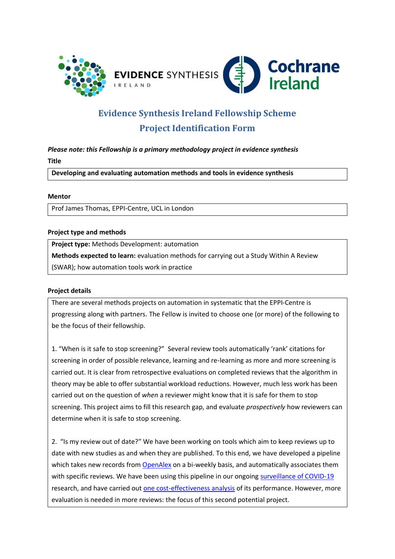



# **Evidence Synthesis Ireland Fellowship Scheme Project Identification Form**

*Please note: this Fellowship is a primary methodology project in evidence synthesis*  **Title** 

**Developing and evaluating automation methods and tools in evidence synthesis**

### **Mentor**

Prof James Thomas, EPPI-Centre, UCL in London

### **Project type and methods**

**Project type:** Methods Development: automation

**Methods expected to learn:** evaluation methods for carrying out a Study Within A Review

(SWAR); how automation tools work in practice

## **Project details**

There are several methods projects on automation in systematic that the EPPI-Centre is progressing along with partners. The Fellow is invited to choose one (or more) of the following to be the focus of their fellowship.

1. "When is it safe to stop screening?" Several review tools automatically 'rank' citations for screening in order of possible relevance, learning and re-learning as more and more screening is carried out. It is clear from retrospective evaluations on completed reviews that the algorithm in theory may be able to offer substantial workload reductions. However, much less work has been carried out on the question of *when* a reviewer might know that it is safe for them to stop screening. This project aims to fill this research gap, and evaluate *prospectively* how reviewers can determine when it is safe to stop screening.

2. "Is my review out of date?" We have been working on tools which aim to keep reviews up to date with new studies as and when they are published. To this end, we have developed a pipeline which takes new records from [OpenAlex](https://openalex.org/) on a bi-weekly basis, and automatically associates them with specific reviews. We have been using this pipeline in our ongoing [surveillance of COVID-19](https://eppi.ioe.ac.uk/cms/Projects/DepartmentofHealthandSocialCare/Publishedreviews(bydate)/COVID-19Livingsystematicmapoftheevidence/tabid/3765/Default.aspx) research, and have carried out [one cost-effectiveness analysis](https://wellcomeopenresearch.org/articles/6-210/v1) of its performance. However, more evaluation is needed in more reviews: the focus of this second potential project.